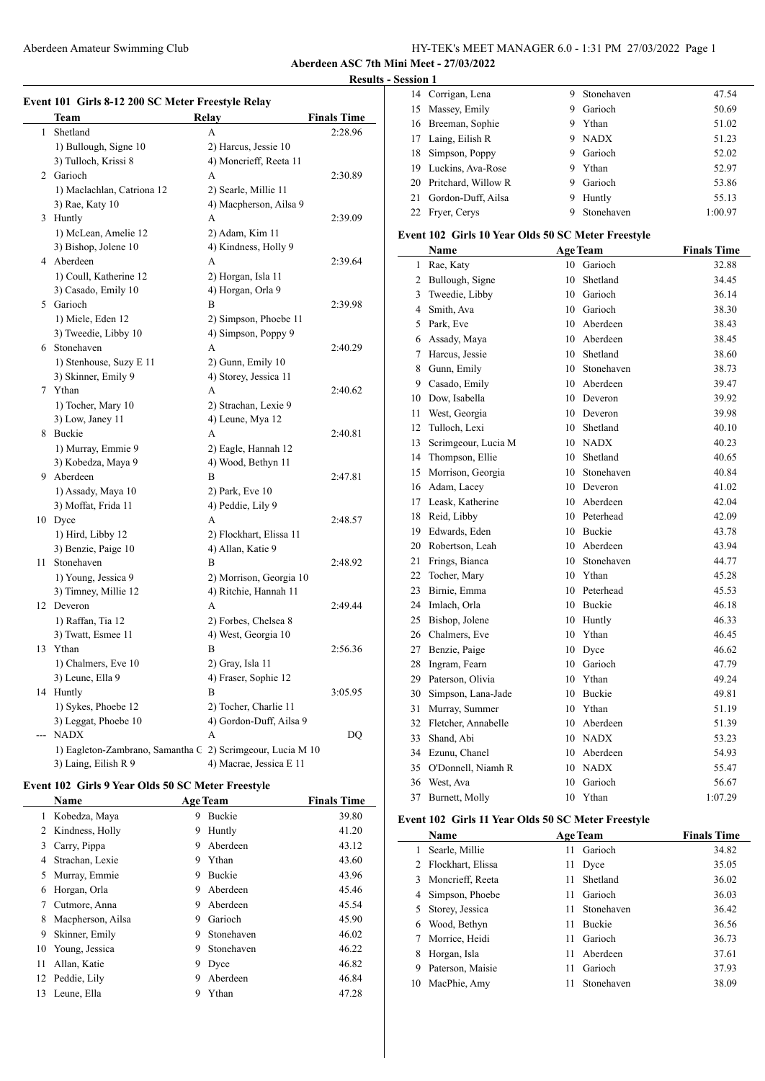#### Aberdeen Amateur Swimming Club HY-TEK's MEET MANAGER 6.0 - 1:31 PM 27/03/2022 Page 1

**Aberdeen ASC 7th Mini Meet - 27/03/2022 Results - Session 1**

|              | <b>Team</b>                                                | Relay                   | <b>Finals Time</b> |
|--------------|------------------------------------------------------------|-------------------------|--------------------|
| $\mathbf{1}$ | Shetland                                                   | A                       | 2:28.96            |
|              | 1) Bullough, Signe 10                                      | 2) Harcus, Jessie 10    |                    |
|              | 3) Tulloch, Krissi 8                                       | 4) Moncrieff, Reeta 11  |                    |
|              | 2 Garioch                                                  | A                       | 2:30.89            |
|              | 1) Maclachlan, Catriona 12                                 | 2) Searle, Millie 11    |                    |
|              | 3) Rae, Katy 10                                            | 4) Macpherson, Ailsa 9  |                    |
|              | 3 Huntly                                                   | A                       | 2:39.09            |
|              | 1) McLean, Amelie 12                                       | 2) Adam, Kim 11         |                    |
|              | 3) Bishop, Jolene 10                                       | 4) Kindness, Holly 9    |                    |
|              | 4 Aberdeen                                                 | A                       | 2:39.64            |
|              | 1) Coull, Katherine 12                                     | 2) Horgan, Isla 11      |                    |
|              | 3) Casado, Emily 10                                        | 4) Horgan, Orla 9       |                    |
|              | 5 Garioch                                                  | B                       |                    |
|              |                                                            |                         | 2:39.98            |
|              | 1) Miele, Eden 12                                          | 2) Simpson, Phoebe 11   |                    |
|              | 3) Tweedie, Libby 10                                       | 4) Simpson, Poppy 9     |                    |
|              | 6 Stonehaven                                               | A                       | 2:40.29            |
|              | 1) Stenhouse, Suzy E 11                                    | 2) Gunn, Emily 10       |                    |
|              | 3) Skinner, Emily 9                                        | 4) Storey, Jessica 11   |                    |
|              | 7 Ythan                                                    | A                       | 2:40.62            |
|              | 1) Tocher, Mary 10                                         | 2) Strachan, Lexie 9    |                    |
|              | 3) Low, Janey 11                                           | 4) Leune, Mya 12        |                    |
|              | 8 Buckie                                                   | A                       | 2:40.81            |
|              | 1) Murray, Emmie 9                                         | 2) Eagle, Hannah 12     |                    |
|              | 3) Kobedza, Maya 9                                         | 4) Wood, Bethyn 11      |                    |
|              | 9 Aberdeen                                                 | B                       | 2:47.81            |
|              | 1) Assady, Maya 10                                         | 2) Park, Eve 10         |                    |
|              | 3) Moffat, Frida 11                                        | 4) Peddie, Lily 9       |                    |
|              | 10 Dyce                                                    | A                       | 2:48.57            |
|              | 1) Hird, Libby 12                                          | 2) Flockhart, Elissa 11 |                    |
|              | 3) Benzie, Paige 10                                        | 4) Allan, Katie 9       |                    |
| 11           | Stonehaven                                                 | B                       | 2:48.92            |
|              | 1) Young, Jessica 9                                        | 2) Morrison, Georgia 10 |                    |
|              | 3) Timney, Millie 12                                       | 4) Ritchie, Hannah 11   |                    |
|              | 12 Deveron                                                 | A                       | 2:49.44            |
|              | 1) Raffan, Tia 12                                          | 2) Forbes, Chelsea 8    |                    |
|              | 3) Twatt, Esmee 11                                         | 4) West, Georgia 10     |                    |
| 13           | Ythan                                                      | В                       | 2:56.36            |
|              | 1) Chalmers, Eve 10                                        | 2) Gray, Isla 11        |                    |
|              | 3) Leune, Ella 9                                           | 4) Fraser, Sophie 12    |                    |
|              |                                                            |                         |                    |
|              | 14 Huntly                                                  | В                       | 3:05.95            |
|              | 1) Sykes, Phoebe 12                                        | 2) Tocher, Charlie 11   |                    |
|              | 3) Leggat, Phoebe 10                                       | 4) Gordon-Duff, Ailsa 9 |                    |
| ---          | <b>NADX</b>                                                | А                       | DQ                 |
|              | 1) Eagleton-Zambrano, Samantha C 2) Scrimgeour, Lucia M 10 |                         |                    |
|              | 3) Laing, Eilish R 9                                       | 4) Macrae, Jessica E 11 |                    |

#### **Event 102 Girls 9 Year Olds 50 SC Meter Freestyle**

 $\overline{\phantom{0}}$ 

|    | Name              |   | <b>Age Team</b> | <b>Finals Time</b> |
|----|-------------------|---|-----------------|--------------------|
| 1  | Kobedza, Maya     | 9 | <b>Buckie</b>   | 39.80              |
| 2  | Kindness, Holly   | 9 | Huntly          | 41.20              |
| 3  | Carry, Pippa      | 9 | Aberdeen        | 43.12              |
| 4  | Strachan, Lexie   | 9 | Ythan           | 43.60              |
| 5  | Murray, Emmie     | 9 | <b>Buckie</b>   | 43.96              |
| 6  | Horgan, Orla      | 9 | Aberdeen        | 45.46              |
| 7  | Cutmore, Anna     | 9 | Aberdeen        | 45.54              |
| 8  | Macpherson, Ailsa | 9 | Garioch         | 45.90              |
| 9  | Skinner, Emily    | 9 | Stonehaven      | 46.02              |
| 10 | Young, Jessica    | 9 | Stonehaven      | 46.22              |
| 11 | Allan, Katie      | 9 | Dyce            | 46.82              |
| 12 | Peddie, Lily      | 9 | Aberdeen        | 46.84              |
| 13 | Leune, Ella       | 9 | Ythan           | 47.28              |
|    |                   |   |                 |                    |

| эмл 1 |                        |    |            |         |
|-------|------------------------|----|------------|---------|
|       | 14 Corrigan, Lena      | 9. | Stonehaven | 47.54   |
|       | 15 Massey, Emily       | 9  | Garioch    | 50.69   |
|       | 16 Breeman, Sophie     | 9  | Ythan      | 51.02   |
|       | 17 Laing, Eilish R     |    | 9 NADX     | 51.23   |
| 18    | Simpson, Poppy         | 9  | Garioch    | 52.02   |
|       | 19 Luckins, Ava-Rose   | 9. | Ythan      | 52.97   |
|       | 20 Pritchard, Willow R | 9  | Garioch    | 53.86   |
|       | 21 Gordon-Duff, Ailsa  | 9  | Huntly     | 55.13   |
|       | 22 Fryer, Cerys        |    | Stonehaven | 1:00.97 |

# **Event 102 Girls 10 Year Olds 50 SC Meter Freestyle**

|              | Name                |                 | <b>Age Team</b> | <b>Finals Time</b> |
|--------------|---------------------|-----------------|-----------------|--------------------|
| $\mathbf{1}$ | Rae, Katy           | 10 <sup>1</sup> | Garioch         | 32.88              |
| 2            | Bullough, Signe     | 10              | Shetland        | 34.45              |
| 3            | Tweedie, Libby      | 10              | Garioch         | 36.14              |
| 4            | Smith, Ava          | 10              | Garioch         | 38.30              |
| 5            | Park, Eve           | 10              | Aberdeen        | 38.43              |
| 6            | Assady, Maya        | 10              | Aberdeen        | 38.45              |
| 7            | Harcus, Jessie      | 10              | Shetland        | 38.60              |
| 8            | Gunn, Emily         | 10              | Stonehaven      | 38.73              |
| 9            | Casado, Emily       |                 | 10 Aberdeen     | 39.47              |
| 10           | Dow, Isabella       | 10              | Deveron         | 39.92              |
| 11           | West, Georgia       |                 | 10 Deveron      | 39.98              |
| 12           | Tulloch, Lexi       | 10              | Shetland        | 40.10              |
| 13           | Scrimgeour, Lucia M |                 | 10 NADX         | 40.23              |
| 14           | Thompson, Ellie     |                 | 10 Shetland     | 40.65              |
| 15           | Morrison, Georgia   |                 | 10 Stonehaven   | 40.84              |
|              | 16 Adam, Lacey      |                 | 10 Deveron      | 41.02              |
| 17           | Leask, Katherine    |                 | 10 Aberdeen     | 42.04              |
| 18           | Reid, Libby         |                 | 10 Peterhead    | 42.09              |
| 19           | Edwards, Eden       |                 | 10 Buckie       | 43.78              |
| 20           | Robertson, Leah     |                 | 10 Aberdeen     | 43.94              |
| 21           | Frings, Bianca      |                 | 10 Stonehaven   | 44.77              |
| 22           | Tocher, Mary        |                 | 10 Ythan        | 45.28              |
| 23           | Birnie, Emma        |                 | 10 Peterhead    | 45.53              |
| 24           | Imlach, Orla        |                 | 10 Buckie       | 46.18              |
| 25           | Bishop, Jolene      |                 | 10 Huntly       | 46.33              |
| 26           | Chalmers, Eve       |                 | 10 Ythan        | 46.45              |
| 27           | Benzie, Paige       | 10              | Dyce            | 46.62              |
| 28           | Ingram, Fearn       | 10              | Garioch         | 47.79              |
| 29           | Paterson, Olivia    |                 | 10 Ythan        | 49.24              |
| 30           | Simpson, Lana-Jade  | 10              | Buckie          | 49.81              |
| 31           | Murray, Summer      |                 | 10 Ythan        | 51.19              |
| 32           | Fletcher, Annabelle |                 | 10 Aberdeen     | 51.39              |
| 33           | Shand, Abi          |                 | 10 NADX         | 53.23              |
| 34           | Ezunu, Chanel       |                 | 10 Aberdeen     | 54.93              |
| 35           | O'Donnell, Niamh R  | 10              | <b>NADX</b>     | 55.47              |
| 36           | West, Ava           | 10              | Garioch         | 56.67              |
| 37           | Burnett, Molly      | 10              | Ythan           | 1:07.29            |

#### **Event 102 Girls 11 Year Olds 50 SC Meter Freestyle**

|    | <b>Name</b>         |    | <b>Age Team</b> | <b>Finals Time</b> |
|----|---------------------|----|-----------------|--------------------|
|    | Searle, Millie      | 11 | Garioch         | 34.82              |
|    | 2 Flockhart, Elissa | 11 | Dyce            | 35.05              |
|    | 3 Moncrieff, Reeta  | 11 | Shetland        | 36.02              |
| 4  | Simpson, Phoebe     | 11 | Garioch         | 36.03              |
|    | 5 Storey, Jessica   | 11 | Stonehaven      | 36.42              |
| 6  | Wood, Bethyn        | 11 | <b>Buckie</b>   | 36.56              |
|    | Morrice, Heidi      | 11 | Garioch         | 36.73              |
| 8  | Horgan, Isla        | 11 | Aberdeen        | 37.61              |
| 9  | Paterson, Maisie    | 11 | Garioch         | 37.93              |
| 10 | MacPhie, Amy        | 11 | Stonehaven      | 38.09              |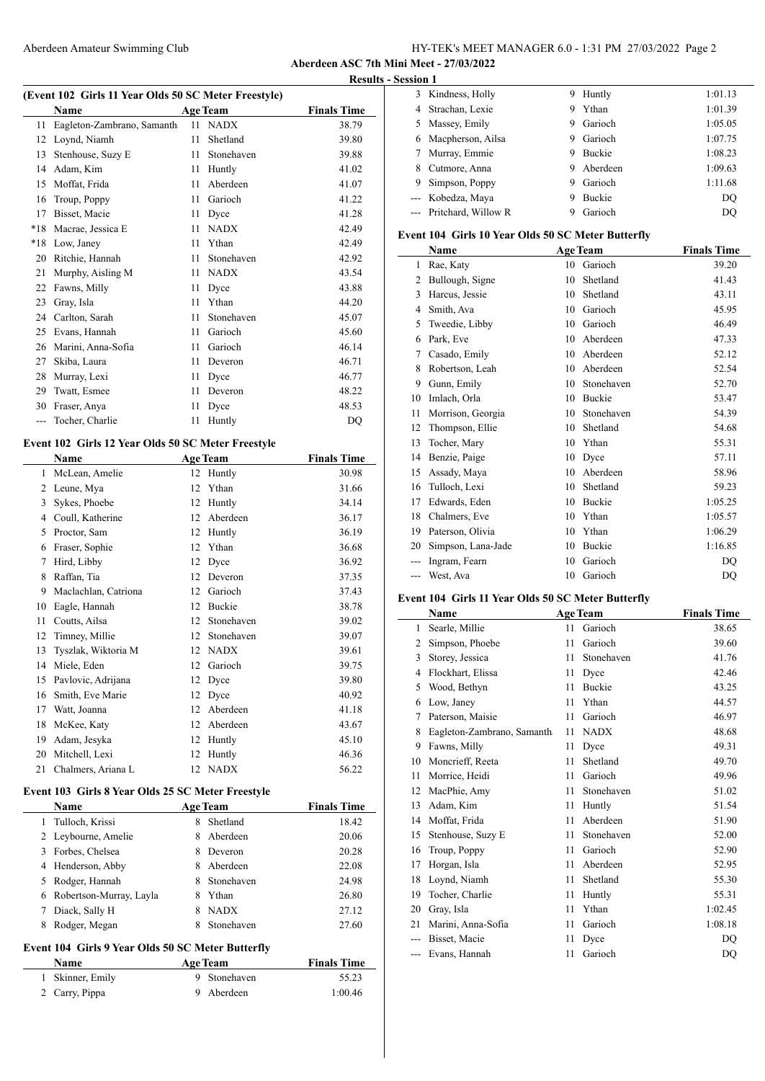# Aberdeen Amateur Swimming Club HY-TEK's MEET MANAGER 6.0 - 1:31 PM 27/03/2022 Page 2

**Aberdeen ASC 7th Mini Meet - 27/03/2022 Results - Session 1**

Ľ,

|  |  | (Event 102 Girls 11 Year Olds 50 SC Meter Freestyle) |  |
|--|--|------------------------------------------------------|--|
|  |  |                                                      |  |

| $\frac{1}{2}$ only in real only $\frac{1}{2}$ of $\frac{1}{2}$ in real integration |                            |    |                 |                    |  |  |
|------------------------------------------------------------------------------------|----------------------------|----|-----------------|--------------------|--|--|
|                                                                                    | Name                       |    | <b>Age Team</b> | <b>Finals Time</b> |  |  |
| 11                                                                                 | Eagleton-Zambrano, Samanth | 11 | <b>NADX</b>     | 38.79              |  |  |
| 12                                                                                 | Loynd, Niamh               | 11 | Shetland        | 39.80              |  |  |
| 13                                                                                 | Stenhouse, Suzy E          | 11 | Stonehaven      | 39.88              |  |  |
| 14                                                                                 | Adam, Kim                  | 11 | Huntly          | 41.02              |  |  |
| 15                                                                                 | Moffat, Frida              | 11 | Aberdeen        | 41.07              |  |  |
| 16                                                                                 | Troup, Poppy               | 11 | Garioch         | 41.22              |  |  |
| 17                                                                                 | Bisset, Macie              | 11 | Dyce            | 41.28              |  |  |
| $*18$                                                                              | Macrae, Jessica E          | 11 | <b>NADX</b>     | 42.49              |  |  |
| $*18$                                                                              | Low, Janey                 | 11 | Ythan           | 42.49              |  |  |
| 20                                                                                 | Ritchie, Hannah            | 11 | Stonehaven      | 42.92              |  |  |
| 21                                                                                 | Murphy, Aisling M          | 11 | <b>NADX</b>     | 43.54              |  |  |
| 22                                                                                 | Fawns, Milly               | 11 | Dyce            | 43.88              |  |  |
| 23                                                                                 | Gray, Isla                 | 11 | Ythan           | 44.20              |  |  |
| 24                                                                                 | Carlton, Sarah             | 11 | Stonehaven      | 45.07              |  |  |
| 25                                                                                 | Evans, Hannah              | 11 | Garioch         | 45.60              |  |  |
| 26                                                                                 | Marini, Anna-Sofia         | 11 | Garioch         | 46.14              |  |  |
| 27                                                                                 | Skiba, Laura               | 11 | Deveron         | 46.71              |  |  |
| 28                                                                                 | Murray, Lexi               | 11 | Dyce            | 46.77              |  |  |
| 29                                                                                 | Twatt, Esmee               | 11 | Deveron         | 48.22              |  |  |
| 30                                                                                 | Fraser, Anya               | 11 | Dyce            | 48.53              |  |  |
|                                                                                    | Tocher, Charlie            | 11 | Huntly          | DQ                 |  |  |
|                                                                                    |                            |    |                 |                    |  |  |

# **Event 102 Girls 12 Year Olds 50 SC Meter Freestyle**

|    | Name                 |    | <b>Age Team</b> | <b>Finals Time</b> |
|----|----------------------|----|-----------------|--------------------|
| 1  | McLean, Amelie       | 12 | Huntly          | 30.98              |
| 2  | Leune, Mya           | 12 | Ythan           | 31.66              |
| 3  | Sykes, Phoebe        | 12 | Huntly          | 34.14              |
| 4  | Coull, Katherine     | 12 | Aberdeen        | 36.17              |
| 5  | Proctor, Sam         | 12 | Huntly          | 36.19              |
| 6  | Fraser, Sophie       | 12 | Ythan           | 36.68              |
| 7  | Hird, Libby          | 12 | Dyce            | 36.92              |
| 8  | Raffan, Tia          | 12 | Deveron         | 37.35              |
| 9  | Maclachlan, Catriona | 12 | Garioch         | 37.43              |
| 10 | Eagle, Hannah        | 12 | Buckie          | 38.78              |
| 11 | Coutts, Ailsa        | 12 | Stonehaven      | 39.02              |
| 12 | Timney, Millie       | 12 | Stonehaven      | 39.07              |
| 13 | Tyszlak, Wiktoria M  | 12 | <b>NADX</b>     | 39.61              |
| 14 | Miele, Eden          | 12 | Garioch         | 39.75              |
| 15 | Pavlovic, Adrijana   | 12 | Dyce            | 39.80              |
| 16 | Smith, Eve Marie     | 12 | Dyce            | 40.92              |
| 17 | Watt, Joanna         | 12 | Aberdeen        | 41.18              |
| 18 | McKee, Katy          | 12 | Aberdeen        | 43.67              |
| 19 | Adam, Jesyka         | 12 | Huntly          | 45.10              |
| 20 | Mitchell, Lexi       | 12 | Huntly          | 46.36              |
| 21 | Chalmers, Ariana L   | 12 | <b>NADX</b>     | 56.22              |

# **Event 103 Girls 8 Year Olds 25 SC Meter Freestyle**

|                                                   | <b>Name</b>             | <b>Age Team</b> |                    | <b>Finals Time</b> |  |
|---------------------------------------------------|-------------------------|-----------------|--------------------|--------------------|--|
| 1.                                                | Tulloch, Krissi         | 8               | Shetland           | 18.42              |  |
|                                                   | 2 Leybourne, Amelie     | 8               | Aberdeen           | 20.06              |  |
| 3                                                 | Forbes, Chelsea         | 8               | Deveron            | 20.28              |  |
| 4                                                 | Henderson, Abby         | 8               | Aberdeen           | 22.08              |  |
| 5                                                 | Rodger, Hannah          | 8               | Stonehaven         | 24.98              |  |
| 6                                                 | Robertson-Murray, Layla | 8               | Ythan              | 26.80              |  |
| 7                                                 | Diack, Sally H          | 8               | <b>NADX</b>        | 27.12              |  |
| 8                                                 | Rodger, Megan           | 8               | Stonehaven         | 27.60              |  |
| Event 104 Girls 9 Year Olds 50 SC Meter Butterfly |                         |                 |                    |                    |  |
| <b>Name</b><br>Age Team                           |                         |                 | <b>Finals Time</b> |                    |  |

| .                | 120.10411    | 1 IIIIII 1 IIIIV |
|------------------|--------------|------------------|
| 1 Skinner, Emily | 9 Stonehaven | 55.23            |
| 2 Carry, Pippa   | 9 Aberdeen   | 1:00.46          |

| еѕѕ1011-1 |                         |   |               |         |
|-----------|-------------------------|---|---------------|---------|
| 3         | Kindness, Holly         | 9 | Huntly        | 1:01.13 |
| 4         | Strachan, Lexie         | 9 | Ythan         | 1:01.39 |
| 5         | Massey, Emily           | 9 | Garioch       | 1:05.05 |
| 6         | Macpherson, Ailsa       | 9 | Garioch       | 1:07.75 |
|           | Murray, Emmie           | 9 | <b>Buckie</b> | 1:08.23 |
| 8         | Cutmore, Anna           | 9 | Aberdeen      | 1:09.63 |
| 9         | Simpson, Poppy          | 9 | Garioch       | 1:11.68 |
|           | --- Kobedza, Maya       | 9 | <b>Buckie</b> | DO      |
|           | --- Pritchard, Willow R | 9 | Garioch       | DO      |

### **Event 104 Girls 10 Year Olds 50 SC Meter Butterfly**

|     | Name               |    | <b>Age Team</b> | <b>Finals Time</b> |
|-----|--------------------|----|-----------------|--------------------|
| 1   | Rae, Katy          | 10 | Garioch         | 39.20              |
| 2   | Bullough, Signe    | 10 | Shetland        | 41.43              |
| 3   | Harcus, Jessie     | 10 | Shetland        | 43.11              |
| 4   | Smith, Ava         | 10 | Garioch         | 45.95              |
| 5   | Tweedie, Libby     | 10 | Garioch         | 46.49              |
| 6   | Park, Eve          | 10 | Aberdeen        | 47.33              |
| 7   | Casado, Emily      | 10 | Aberdeen        | 52.12              |
| 8   | Robertson, Leah    | 10 | Aberdeen        | 52.54              |
| 9   | Gunn, Emily        | 10 | Stonehaven      | 52.70              |
| 10  | Imlach, Orla       | 10 | <b>Buckie</b>   | 53.47              |
| 11  | Morrison, Georgia  | 10 | Stonehaven      | 54.39              |
| 12  | Thompson, Ellie    | 10 | Shetland        | 54.68              |
| 13  | Tocher, Mary       | 10 | Ythan           | 55.31              |
| 14  | Benzie, Paige      | 10 | Dyce            | 57.11              |
| 15  | Assady, Maya       | 10 | Aberdeen        | 58.96              |
| 16  | Tulloch, Lexi      | 10 | Shetland        | 59.23              |
| 17  | Edwards, Eden      | 10 | <b>Buckie</b>   | 1:05.25            |
| 18  | Chalmers, Eve      | 10 | Ythan           | 1:05.57            |
| 19  | Paterson, Olivia   | 10 | Ythan           | 1:06.29            |
| 20  | Simpson, Lana-Jade | 10 | Buckie          | 1:16.85            |
| --- | Ingram, Fearn      | 10 | Garioch         | DO                 |
| --- | West, Ava          | 10 | Garioch         | DQ                 |

# **Event 104 Girls 11 Year Olds 50 SC Meter Butterfly**

|                | Name                       |    | <b>Age Team</b> | <b>Finals Time</b> |
|----------------|----------------------------|----|-----------------|--------------------|
| 1              | Searle, Millie             | 11 | Garioch         | 38.65              |
| $\overline{c}$ | Simpson, Phoebe            | 11 | Garioch         | 39.60              |
| 3              | Storey, Jessica            | 11 | Stonehaven      | 41.76              |
| 4              | Flockhart, Elissa          | 11 | Dyce            | 42.46              |
| 5              | Wood, Bethyn               | 11 | <b>Buckie</b>   | 43.25              |
| 6              | Low, Janey                 | 11 | Ythan           | 44.57              |
| 7              | Paterson, Maisie           | 11 | Garioch         | 46.97              |
| 8              | Eagleton-Zambrano, Samanth | 11 | <b>NADX</b>     | 48.68              |
| 9              | Fawns, Milly               | 11 | Dyce            | 49.31              |
| 10             | Moncrieff, Reeta           | 11 | Shetland        | 49.70              |
| 11             | Morrice, Heidi             | 11 | Garioch         | 49.96              |
| 12             | MacPhie, Amy               | 11 | Stonehaven      | 51.02              |
| 13             | Adam, Kim                  | 11 | Huntly          | 51.54              |
| 14             | Moffat, Frida              | 11 | Aberdeen        | 51.90              |
| 15             | Stenhouse, Suzy E          | 11 | Stonehaven      | 52.00              |
| 16             | Troup, Poppy               | 11 | Garioch         | 52.90              |
| 17             | Horgan, Isla               | 11 | Aberdeen        | 52.95              |
| 18             | Loynd, Niamh               | 11 | Shetland        | 55.30              |
| 19             | Tocher, Charlie            | 11 | Huntly          | 55.31              |
| 20             | Gray, Isla                 | 11 | Ythan           | 1:02.45            |
| 21             | Marini, Anna-Sofia         | 11 | Garioch         | 1:08.18            |
|                | Bisset, Macie              | 11 | Dyce            | DO                 |
|                | Evans, Hannah              | 11 | Garioch         | DO                 |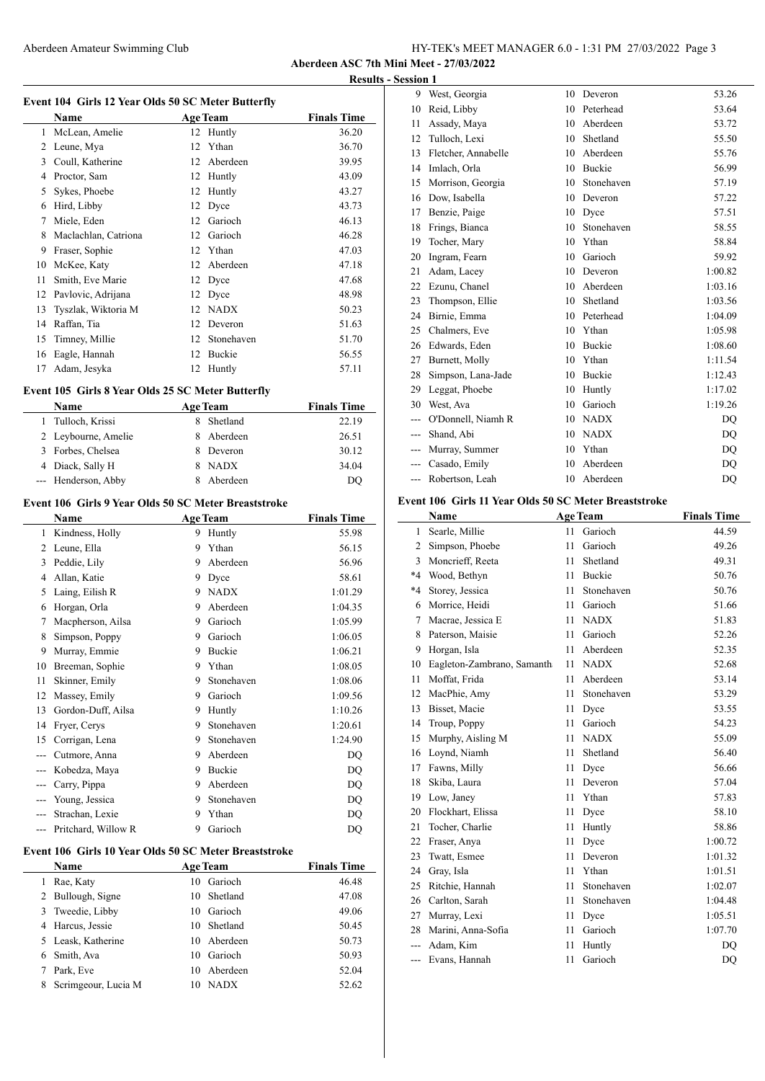# Aberdeen Amateur Swimming Club HY-TEK's MEET MANAGER 6.0 - 1:31 PM 27/03/2022 Page 3

**Aberdeen ASC 7th Mini Meet - 27/03/2022 Results - Session 1**

 $\overline{\phantom{a}}$ 

|    |                      |    | Event 104 Girls 12 Year Olds 50 SC Meter Butterfly |                    |
|----|----------------------|----|----------------------------------------------------|--------------------|
|    | Name                 |    | <b>Age Team</b>                                    | <b>Finals Time</b> |
| 1  | McLean, Amelie       | 12 | Huntly                                             | 36.20              |
| 2  | Leune, Mya           | 12 | Ythan                                              | 36.70              |
| 3  | Coull, Katherine     | 12 | Aberdeen                                           | 39.95              |
| 4  | Proctor, Sam         | 12 | Huntly                                             | 43.09              |
| 5  | Sykes, Phoebe        | 12 | Huntly                                             | 43.27              |
| 6  | Hird, Libby          | 12 | Dyce                                               | 43.73              |
| 7  | Miele, Eden          | 12 | Garioch                                            | 46.13              |
| 8  | Maclachlan, Catriona | 12 | Garioch                                            | 46.28              |
| 9  | Fraser, Sophie       | 12 | Ythan                                              | 47.03              |
| 10 | McKee, Katy          | 12 | Aberdeen                                           | 47.18              |
| 11 | Smith, Eve Marie     | 12 | Dyce                                               | 47.68              |
| 12 | Pavlovic, Adrijana   | 12 | Dyce                                               | 48.98              |
| 13 | Tyszlak, Wiktoria M  | 12 | <b>NADX</b>                                        | 50.23              |
| 14 | Raffan, Tia          | 12 | Deveron                                            | 51.63              |
| 15 | Timney, Millie       | 12 | Stonehaven                                         | 51.70              |
| 16 | Eagle, Hannah        | 12 | <b>Buckie</b>                                      | 56.55              |
| 17 | Adam, Jesyka         | 12 | Huntly                                             | 57.11              |

# **Event 105 Girls 8 Year Olds 25 SC Meter Butterfly**

| <b>Name</b>         |    | <b>Age Team</b> | <b>Finals Time</b> |
|---------------------|----|-----------------|--------------------|
| 1 Tulloch, Krissi   |    | Shetland        | 22.19              |
| 2 Leybourne, Amelie |    | 8 Aberdeen      | 26.51              |
| 3 Forbes, Chelsea   | x. | Deveron         | 30.12              |
| 4 Diack, Sally H    |    | <b>NADX</b>     | 34.04              |
| --- Henderson, Abby |    | Aberdeen        | DO                 |

# **Event 106 Girls 9 Year Olds 50 SC Meter Breaststroke**

| Name                |   |               | <b>Finals Time</b> |
|---------------------|---|---------------|--------------------|
| Kindness, Holly     | 9 | Huntly        | 55.98              |
| Leune, Ella         | 9 | Ythan         | 56.15              |
| Peddie, Lily        | 9 | Aberdeen      | 56.96              |
| Allan, Katie        | 9 | Dyce          | 58.61              |
| Laing, Eilish R     | 9 | <b>NADX</b>   | 1:01.29            |
| Horgan, Orla        | 9 | Aberdeen      | 1:04.35            |
| Macpherson, Ailsa   | 9 | Garioch       | 1:05.99            |
| Simpson, Poppy      | 9 | Garioch       | 1:06.05            |
| Murray, Emmie       | 9 | <b>Buckie</b> | 1:06.21            |
| Breeman, Sophie     | 9 | Ythan         | 1:08.05            |
| Skinner, Emily      | 9 | Stonehaven    | 1:08.06            |
| Massey, Emily       | 9 | Garioch       | 1:09.56            |
| Gordon-Duff, Ailsa  | 9 | Huntly        | 1:10.26            |
| Fryer, Cerys        | 9 | Stonehaven    | 1:20.61            |
| Corrigan, Lena      | 9 | Stonehaven    | 1:24.90            |
| Cutmore, Anna       | 9 | Aberdeen      | DQ                 |
| Kobedza, Maya       | 9 | <b>Buckie</b> | DQ                 |
| Carry, Pippa        | 9 | Aberdeen      | DQ                 |
| Young, Jessica      | 9 | Stonehaven    | DQ                 |
| Strachan, Lexie     | 9 | Ythan         | DQ                 |
| Pritchard, Willow R | 9 | Garioch       | DQ                 |
|                     |   |               | <b>Age Team</b>    |

# **Event 106 Girls 10 Year Olds 50 SC Meter Breaststroke**

|   | Name                | <b>Age Team</b> |             | <b>Finals Time</b> |
|---|---------------------|-----------------|-------------|--------------------|
|   | Rae, Katy           |                 | 10 Garioch  | 46.48              |
| 2 | Bullough, Signe     |                 | 10 Shetland | 47.08              |
|   | 3 Tweedie, Libby    | 10              | Garioch     | 49.06              |
| 4 | Harcus, Jessie      | 10              | Shetland    | 50.45              |
|   | 5 Leask, Katherine  | 10              | Aberdeen    | 50.73              |
| 6 | Smith, Ava          |                 | 10 Garioch  | 50.93              |
|   | Park. Eve           | 10              | Aberdeen    | 52.04              |
| 8 | Scrimgeour, Lucia M | 10              | <b>NADX</b> | 52.62              |
|   |                     |                 |             |                    |

| 9     | West, Georgia       | 10 | Deveron       | 53.26   |
|-------|---------------------|----|---------------|---------|
| 10    | Reid, Libby         | 10 | Peterhead     | 53.64   |
| 11    | Assady, Maya        | 10 | Aberdeen      | 53.72   |
| 12    | Tulloch, Lexi       | 10 | Shetland      | 55.50   |
| 13    | Fletcher, Annabelle | 10 | Aberdeen      | 55.76   |
| 14    | Imlach, Orla        | 10 | Buckie        | 56.99   |
| 15    | Morrison, Georgia   | 10 | Stonehaven    | 57.19   |
| 16    | Dow, Isabella       | 10 | Deveron       | 57.22   |
| 17    | Benzie, Paige       | 10 | Dyce          | 57.51   |
| 18    | Frings, Bianca      | 10 | Stonehaven    | 58.55   |
| 19    | Tocher, Mary        | 10 | Ythan         | 58.84   |
| 20    | Ingram, Fearn       | 10 | Garioch       | 59.92   |
| 21    | Adam, Lacey         | 10 | Deveron       | 1:00.82 |
| 22    | Ezunu, Chanel       | 10 | Aberdeen      | 1:03.16 |
| 23    | Thompson, Ellie     | 10 | Shetland      | 1:03.56 |
| 24    | Birnie, Emma        | 10 | Peterhead     | 1:04.09 |
| 25    | Chalmers, Eve       | 10 | Ythan         | 1:05.98 |
| 26    | Edwards, Eden       | 10 | Buckie        | 1:08.60 |
| 27    | Burnett, Molly      | 10 | Ythan         | 1:11.54 |
| 28    | Simpson, Lana-Jade  | 10 | <b>Buckie</b> | 1:12.43 |
| 29    | Leggat, Phoebe      | 10 | Huntly        | 1:17.02 |
| 30    | West, Ava           | 10 | Garioch       | 1:19.26 |
| ---   | O'Donnell, Niamh R  | 10 | <b>NADX</b>   | DO      |
| $---$ | Shand, Abi          | 10 | <b>NADX</b>   | DQ      |
| ---   | Murray, Summer      | 10 | Ythan         | DO      |
|       | Casado, Emily       | 10 | Aberdeen      | DO      |
| ---   | Robertson, Leah     | 10 | Aberdeen      | DQ      |

# **Event 106 Girls 11 Year Olds 50 SC Meter Breaststroke**

|                | Name                       |    | <b>Age Team</b> | <b>Finals Time</b> |
|----------------|----------------------------|----|-----------------|--------------------|
| 1              | Searle, Millie             | 11 | Garioch         | 44.59              |
| $\overline{c}$ | Simpson, Phoebe            | 11 | Garioch         | 49.26              |
| 3              | Moncrieff, Reeta           | 11 | Shetland        | 49.31              |
| $*4$           | Wood, Bethyn               | 11 | <b>Buckie</b>   | 50.76              |
| $*4$           | Storey, Jessica            | 11 | Stonehaven      | 50.76              |
| 6              | Morrice, Heidi             | 11 | Garioch         | 51.66              |
| 7              | Macrae, Jessica E          | 11 | <b>NADX</b>     | 51.83              |
| 8              | Paterson, Maisie           | 11 | Garioch         | 52.26              |
| 9              | Horgan, Isla               | 11 | Aberdeen        | 52.35              |
| 10             | Eagleton-Zambrano, Samanth | 11 | <b>NADX</b>     | 52.68              |
| 11             | Moffat, Frida              | 11 | Aberdeen        | 53.14              |
| 12             | MacPhie, Amy               | 11 | Stonehaven      | 53.29              |
| 13             | <b>Bisset</b> , Macie      | 11 | Dyce            | 53.55              |
| 14             | Troup, Poppy               | 11 | Garioch         | 54.23              |
| 15             | Murphy, Aisling M          | 11 | <b>NADX</b>     | 55.09              |
| 16             | Loynd, Niamh               | 11 | Shetland        | 56.40              |
| 17             | Fawns, Milly               | 11 | Dyce            | 56.66              |
| 18             | Skiba, Laura               | 11 | Deveron         | 57.04              |
| 19             | Low, Janey                 | 11 | Ythan           | 57.83              |
| 20             | Flockhart, Elissa          | 11 | Dyce            | 58.10              |
| 21             | Tocher, Charlie            | 11 | Huntly          | 58.86              |
| 22             | Fraser, Anya               | 11 | Dyce            | 1:00.72            |
| 23             | Twatt, Esmee               | 11 | Deveron         | 1:01.32            |
| 24             | Gray, Isla                 | 11 | Ythan           | 1:01.51            |
| 25             | Ritchie, Hannah            | 11 | Stonehaven      | 1:02.07            |
| 26             | Carlton, Sarah             | 11 | Stonehaven      | 1:04.48            |
| 27             | Murray, Lexi               | 11 | Dyce            | 1:05.51            |
| 28             | Marini, Anna-Sofia         | 11 | Garioch         | 1:07.70            |
| ---            | Adam. Kim                  | 11 | Huntly          | DO                 |
| $---$          | Evans, Hannah              | 11 | Garioch         | DQ                 |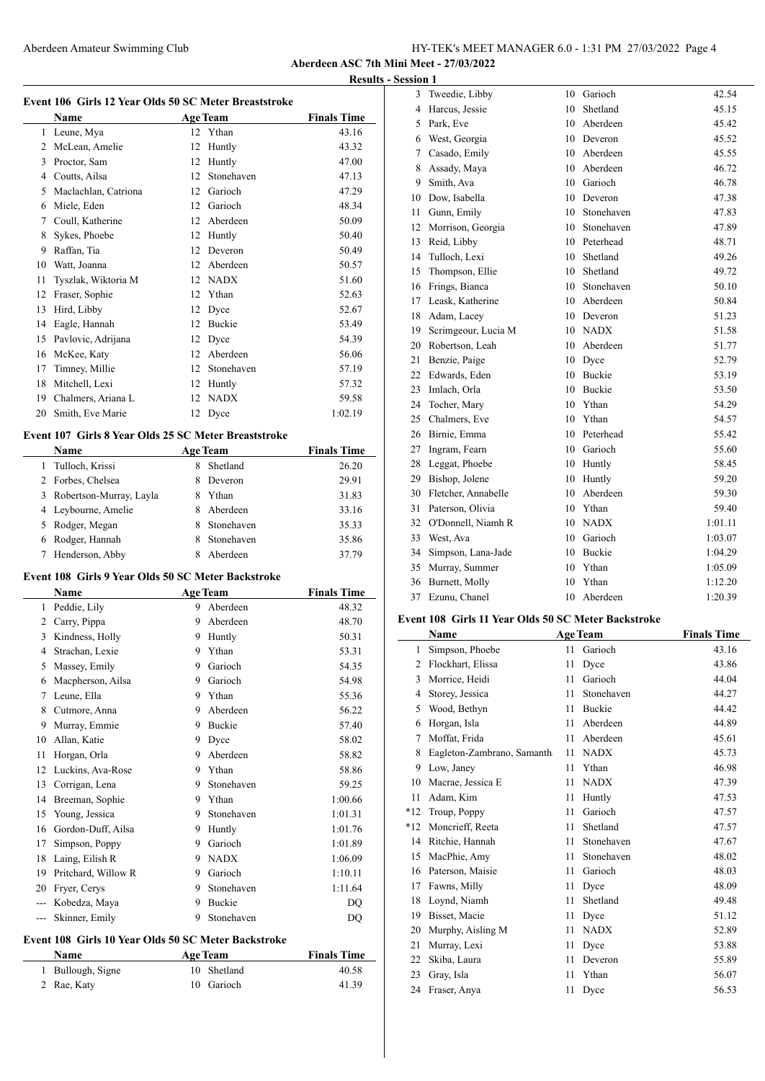|                                         | HY-TEK's MEET MANAGER 6.0 - 1:31 PM 27/03/2022 Page 4 |  |  |
|-----------------------------------------|-------------------------------------------------------|--|--|
| Aberdeen ASC 7th Mini Meet - 27/03/2022 |                                                       |  |  |

**Results - Session 1**

|  |  | Event 106 Girls 12 Year Olds 50 SC Meter Breaststroke |  |
|--|--|-------------------------------------------------------|--|
|--|--|-------------------------------------------------------|--|

|               | Name                 |    | <b>Age Team</b> | <b>Finals Time</b> |
|---------------|----------------------|----|-----------------|--------------------|
| 1             | Leune, Mya           |    | 12 Ythan        | 43.16              |
| $\mathcal{L}$ | McLean, Amelie       | 12 | Huntly          | 43.32              |
| 3             | Proctor, Sam         | 12 | Huntly          | 47.00              |
| 4             | Coutts, Ailsa        | 12 | Stonehaven      | 47.13              |
| 5             | Maclachlan, Catriona | 12 | Garioch         | 47.29              |
| 6             | Miele, Eden          | 12 | Garioch         | 48.34              |
| 7             | Coull, Katherine     | 12 | Aberdeen        | 50.09              |
| 8             | Sykes, Phoebe        | 12 | Huntly          | 50.40              |
| 9             | Raffan, Tia          | 12 | Deveron         | 50.49              |
| 10            | Watt, Joanna         | 12 | Aberdeen        | 50.57              |
| 11            | Tyszlak, Wiktoria M  | 12 | <b>NADX</b>     | 51.60              |
| 12            | Fraser, Sophie       | 12 | Ythan           | 52.63              |
| 13            | Hird, Libby          | 12 | Dyce            | 52.67              |
| 14            | Eagle, Hannah        | 12 | Buckie          | 53.49              |
| 15            | Pavlovic, Adrijana   | 12 | Dyce            | 54.39              |
| 16            | McKee, Katy          | 12 | Aberdeen        | 56.06              |
| 17            | Timney, Millie       | 12 | Stonehaven      | 57.19              |
| 18            | Mitchell, Lexi       | 12 | Huntly          | 57.32              |
| 19            | Chalmers, Ariana L   | 12 | <b>NADX</b>     | 59.58              |
| 20            | Smith, Eve Marie     | 12 | Dyce            | 1:02.19            |
|               |                      |    |                 |                    |

# **Event 107 Girls 8 Year Olds 25 SC Meter Breaststroke**

| <b>Name</b>                  | <b>Age Team</b> | <b>Finals Time</b> |
|------------------------------|-----------------|--------------------|
| Tulloch, Krissi              | Shetland        | 26.20              |
| 2 Forbes, Chelsea            | Deveron         | 29.91              |
| Robertson-Murray, Layla<br>3 | Ythan<br>8      | 31.83              |
| 4 Leybourne, Amelie          | Aberdeen<br>8.  | 33.16              |
| 5 Rodger, Megan              | Stonehaven      | 35.33              |
| Rodger, Hannah<br>6          | Stonehaven      | 35.86              |
| Henderson, Abby              | Aberdeen        | 37.79              |

# **Event 108 Girls 9 Year Olds 50 SC Meter Backstroke**

 $\overline{\phantom{a}}$ 

|       | Name                | <b>Age Team</b> |               | <b>Finals Time</b> |
|-------|---------------------|-----------------|---------------|--------------------|
| 1     | Peddie, Lily        | 9               | Aberdeen      | 48.32              |
| 2     | Carry, Pippa        | 9               | Aberdeen      | 48.70              |
| 3     | Kindness, Holly     | 9               | Huntly        | 50.31              |
| 4     | Strachan, Lexie     | 9               | Ythan         | 53.31              |
| 5     | Massey, Emily       | 9               | Garioch       | 54.35              |
| 6     | Macpherson, Ailsa   | 9               | Garioch       | 54.98              |
| 7     | Leune, Ella         | 9               | Ythan         | 55.36              |
| 8     | Cutmore, Anna       | 9               | Aberdeen      | 56.22              |
| 9     | Murray, Emmie       | 9               | <b>Buckie</b> | 57.40              |
| 10    | Allan, Katie        | 9               | Dyce          | 58.02              |
| 11    | Horgan, Orla        | 9               | Aberdeen      | 58.82              |
| 12    | Luckins, Ava-Rose   | 9               | Ythan         | 58.86              |
| 13    | Corrigan, Lena      | 9               | Stonehaven    | 59.25              |
| 14    | Breeman, Sophie     | 9               | Ythan         | 1:00.66            |
| 15    | Young, Jessica      | 9               | Stonehaven    | 1:01.31            |
| 16    | Gordon-Duff, Ailsa  | 9               | Huntly        | 1:01.76            |
| 17    | Simpson, Poppy      | 9               | Garioch       | 1:01.89            |
| 18    | Laing, Eilish R     | 9               | <b>NADX</b>   | 1:06.09            |
| 19    | Pritchard, Willow R | 9               | Garioch       | 1:10.11            |
| 20    | Fryer, Cerys        | 9               | Stonehaven    | 1:11.64            |
|       | Kobedza, Maya       | 9               | Buckie        | DQ                 |
| $---$ | Skinner, Emily      | 9               | Stonehaven    | DQ                 |

# **Event 108 Girls 10 Year Olds 50 SC Meter Backstroke**<br>Name **Age Team**

| Name              | <b>Age Team</b> | <b>Finals Time</b> |
|-------------------|-----------------|--------------------|
| 1 Bullough, Signe | 10 Shetland     | 40.58              |
| 2 Rae, Katy       | 10 Garioch      | 41.39              |

| 3  | Tweedie, Libby      | 10 | Garioch       | 42.54   |
|----|---------------------|----|---------------|---------|
| 4  | Harcus, Jessie      | 10 | Shetland      | 45.15   |
| 5  | Park, Eve           | 10 | Aberdeen      | 45.42   |
| 6  | West, Georgia       |    | 10 Deveron    | 45.52   |
| 7  | Casado, Emily       |    | 10 Aberdeen   | 45.55   |
| 8  | Assady, Maya        |    | 10 Aberdeen   | 46.72   |
| 9  | Smith, Ava          | 10 | Garioch       | 46.78   |
| 10 | Dow, Isabella       | 10 | Deveron       | 47.38   |
| 11 | Gunn, Emily         | 10 | Stonehaven    | 47.83   |
| 12 | Morrison, Georgia   | 10 | Stonehaven    | 47.89   |
| 13 | Reid, Libby         | 10 | Peterhead     | 48.71   |
| 14 | Tulloch, Lexi       | 10 | Shetland      | 49.26   |
| 15 | Thompson, Ellie     | 10 | Shetland      | 49.72   |
| 16 | Frings, Bianca      | 10 | Stonehaven    | 50.10   |
| 17 | Leask, Katherine    |    | 10 Aberdeen   | 50.84   |
| 18 | Adam, Lacey         | 10 | Deveron       | 51.23   |
| 19 | Scrimgeour, Lucia M |    | 10 NADX       | 51.58   |
| 20 | Robertson, Leah     | 10 | Aberdeen      | 51.77   |
| 21 | Benzie, Paige       | 10 | Dyce          | 52.79   |
| 22 | Edwards, Eden       | 10 | <b>Buckie</b> | 53.19   |
| 23 | Imlach, Orla        | 10 | <b>Buckie</b> | 53.50   |
| 24 | Tocher, Mary        | 10 | Ythan         | 54.29   |
| 25 | Chalmers, Eve       | 10 | Ythan         | 54.57   |
| 26 | Birnie, Emma        |    | 10 Peterhead  | 55.42   |
| 27 | Ingram, Fearn       |    | 10 Garioch    | 55.60   |
| 28 | Leggat, Phoebe      |    | 10 Huntly     | 58.45   |
| 29 | Bishop, Jolene      | 10 | Huntly        | 59.20   |
| 30 | Fletcher, Annabelle | 10 | Aberdeen      | 59.30   |
| 31 | Paterson, Olivia    | 10 | Ythan         | 59.40   |
| 32 | O'Donnell, Niamh R  | 10 | <b>NADX</b>   | 1:01.11 |
| 33 | West, Ava           | 10 | Garioch       | 1:03.07 |
| 34 | Simpson, Lana-Jade  | 10 | Buckie        | 1:04.29 |
| 35 | Murray, Summer      | 10 | Ythan         | 1:05.09 |
| 36 | Burnett, Molly      | 10 | Ythan         | 1:12.20 |
| 37 | Ezunu, Chanel       | 10 | Aberdeen      | 1:20.39 |
|    |                     |    |               |         |

#### **Event 108 Girls 11 Year Olds 50 SC Meter Backstroke**

|       | Name                       |    | <b>Age Team</b> | <b>Finals Time</b> |
|-------|----------------------------|----|-----------------|--------------------|
| 1     | Simpson, Phoebe            | 11 | Garioch         | 43.16              |
| 2     | Flockhart, Elissa          | 11 | Dyce            | 43.86              |
| 3     | Morrice, Heidi             | 11 | Garioch         | 44.04              |
| 4     | Storey, Jessica            | 11 | Stonehaven      | 44.27              |
| 5     | Wood, Bethyn               | 11 | <b>Buckie</b>   | 44.42              |
| 6     | Horgan, Isla               | 11 | Aberdeen        | 44.89              |
| 7     | Moffat, Frida              | 11 | Aberdeen        | 45.61              |
| 8     | Eagleton-Zambrano, Samanth | 11 | <b>NADX</b>     | 45.73              |
| 9     | Low, Janey                 | 11 | Ythan           | 46.98              |
| 10    | Macrae, Jessica E          | 11 | <b>NADX</b>     | 47.39              |
| 11    | Adam, Kim                  | 11 | Huntly          | 47.53              |
| $*12$ | Troup, Poppy               | 11 | Garioch         | 47.57              |
| $*12$ | Moncrieff, Reeta           | 11 | Shetland        | 47.57              |
| 14    | Ritchie, Hannah            | 11 | Stonehaven      | 47.67              |
| 15    | MacPhie, Amy               | 11 | Stonehaven      | 48.02              |
| 16    | Paterson, Maisie           | 11 | Garioch         | 48.03              |
| 17    | Fawns, Milly               | 11 | Dyce            | 48.09              |
| 18    | Loynd, Niamh               | 11 | Shetland        | 49.48              |
| 19    | Bisset, Macie              | 11 | Dyce            | 51.12              |
| 20    | Murphy, Aisling M          | 11 | <b>NADX</b>     | 52.89              |
| 21    | Murray, Lexi               | 11 | Dyce            | 53.88              |
| 22    | Skiba, Laura               | 11 | Deveron         | 55.89              |
| 23    | Gray, Isla                 | 11 | Ythan           | 56.07              |
| 24    | Fraser, Anya               | 11 | Dyce            | 56.53              |